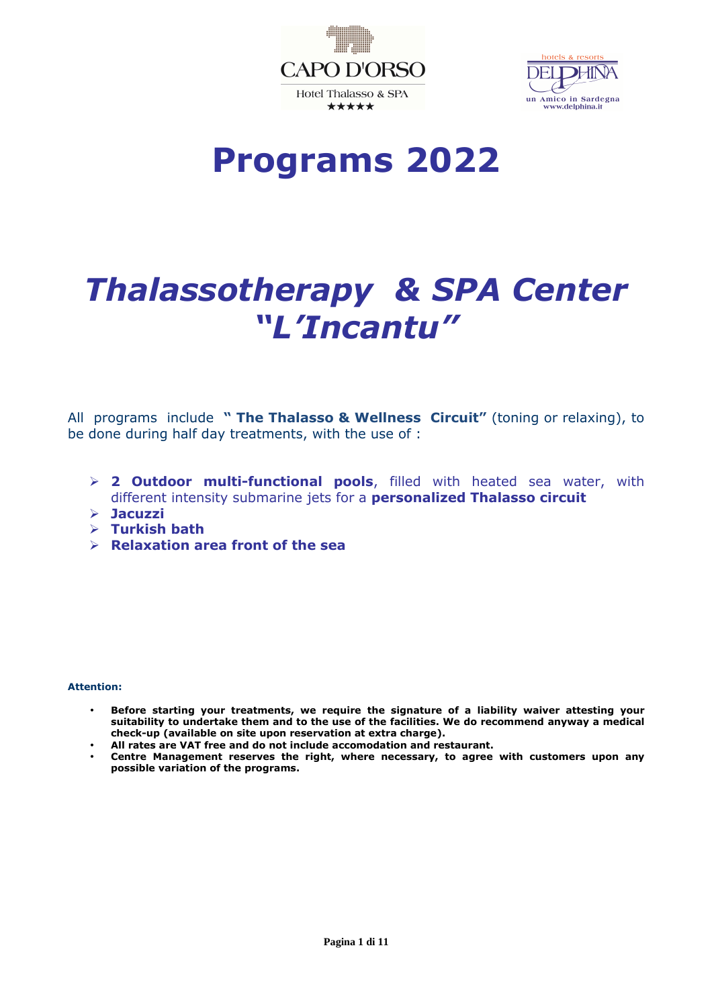



**Programs 2022** 

# *Thalassotherapy & SPA Center "L'Incantu"*

All programs include **" The Thalasso & Wellness Circuit"** (toning or relaxing), to be done during half day treatments, with the use of :

- **2 Outdoor multi-functional pools**, filled with heated sea water, with different intensity submarine jets for a **personalized Thalasso circuit**
- **Jacuzzi**
- **Turkish bath**
- **Relaxation area front of the sea**

#### **Attention:**

- **Before starting your treatments, we require the signature of a liability waiver attesting your suitability to undertake them and to the use of the facilities. We do recommend anyway a medical check-up (available on site upon reservation at extra charge).**
- **All rates are VAT free and do not include accomodation and restaurant.**
- **Centre Management reserves the right, where necessary, to agree with customers upon any possible variation of the programs.**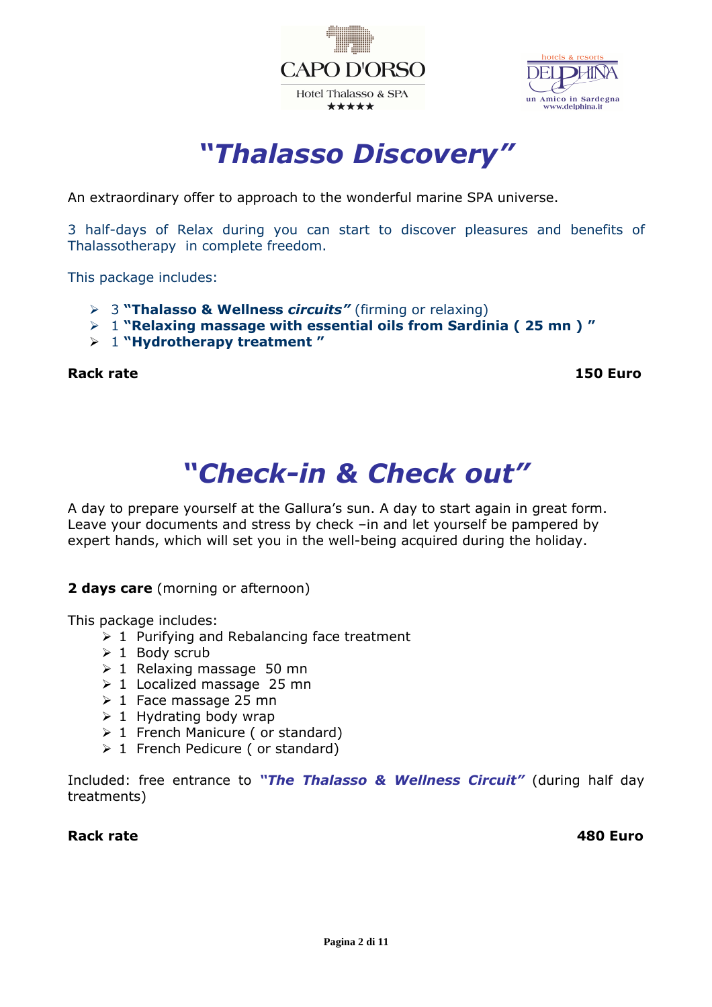



*"Thalasso Discovery"* 

An extraordinary offer to approach to the wonderful marine SPA universe.

3 half-days of Relax during you can start to discover pleasures and benefits of Thalassotherapy in complete freedom.

This package includes:

- 3 **"Thalasso & Wellness** *circuits"* (firming or relaxing)
- 1 **"Relaxing massage with essential oils from Sardinia ( 25 mn ) "**
- 1 **"Hydrotherapy treatment "**

**Rack rate** 150 Euro **150 Euro** 150 Euro **150 Euro** 

# *"Check-in & Check out"*

A day to prepare yourself at the Gallura's sun. A day to start again in great form. Leave your documents and stress by check –in and let yourself be pampered by expert hands, which will set you in the well-being acquired during the holiday.

#### **2 days care** (morning or afternoon)

This package includes:

- $\geq 1$  Purifying and Rebalancing face treatment
- $\geq 1$  Body scrub
- $\geq 1$  Relaxing massage 50 mn
- $\geq 1$  Localized massage 25 mn
- $\geq 1$  Face massage 25 mn
- $\geq 1$  Hydrating body wrap
- $\geq 1$  French Manicure (or standard)
- $\geq 1$  French Pedicure (or standard)

Included: free entrance to *"The Thalasso & Wellness Circuit"* (during half day treatments)

**Rack rate 480 Euro**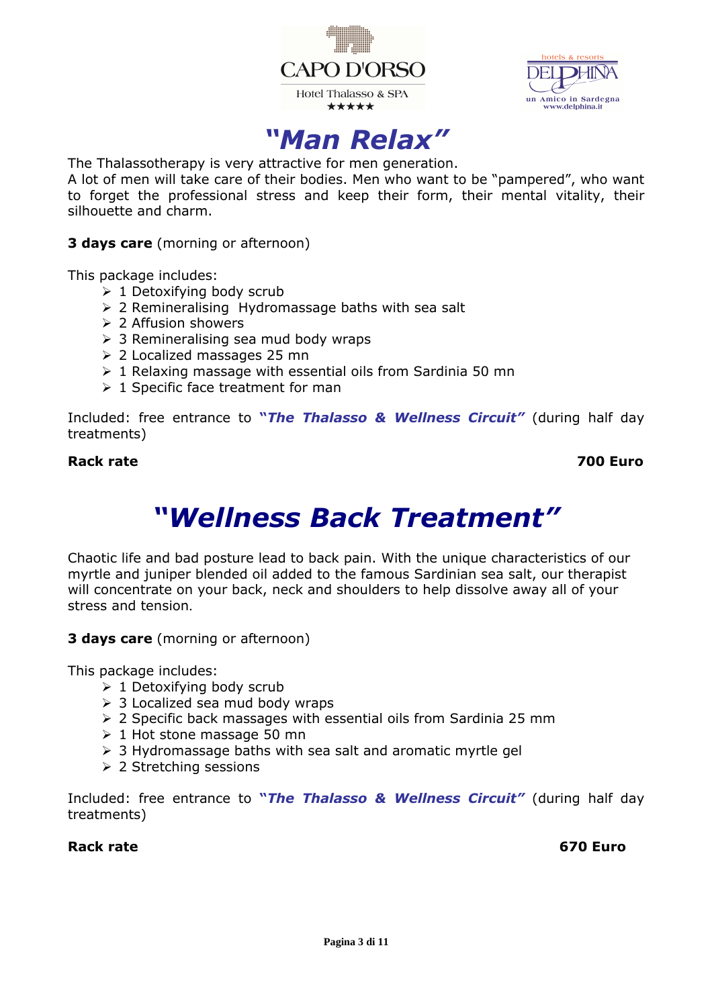



## *"Man Relax"*

The Thalassotherapy is very attractive for men generation.

A lot of men will take care of their bodies. Men who want to be "pampered", who want to forget the professional stress and keep their form, their mental vitality, their silhouette and charm.

**3 days care** (morning or afternoon)

This package includes:

- $\geq 1$  Detoxifying body scrub
- $\geq$  2 Remineralising Hydromassage baths with sea salt
- $\geq 2$  Affusion showers
- $\geq$  3 Remineralising sea mud body wraps
- 2 Localized massages 25 mn
- $\geq 1$  Relaxing massage with essential oils from Sardinia 50 mn
- $\geq 1$  Specific face treatment for man

Included: free entrance to **"***The Thalasso & Wellness Circuit"* (during half day treatments)

#### **Rack rate 700 Euro**

# *"Wellness Back Treatment"*

Chaotic life and bad posture lead to back pain. With the unique characteristics of our myrtle and juniper blended oil added to the famous Sardinian sea salt, our therapist will concentrate on your back, neck and shoulders to help dissolve away all of your stress and tension.

**3 days care** (morning or afternoon)

This package includes:

- $\geq 1$  Detoxifying body scrub
- $\geq$  3 Localized sea mud body wraps
- $\geq$  2 Specific back massages with essential oils from Sardinia 25 mm
- $\geq 1$  Hot stone massage 50 mn
- $\geq$  3 Hydromassage baths with sea salt and aromatic myrtle gel
- **≥ 2 Stretching sessions**

Included: free entrance to **"***The Thalasso & Wellness Circuit"* (during half day treatments)

### Rack rate **670 Euro Rack rate** 670 Euro *CO*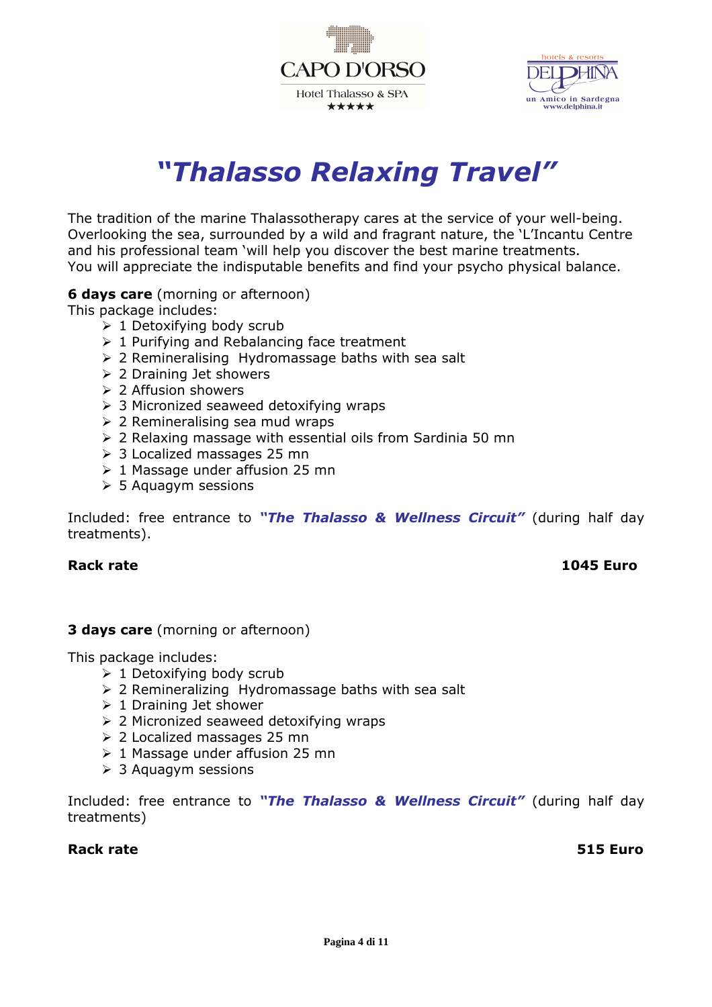



# *"Thalasso Relaxing Travel"*

The tradition of the marine Thalassotherapy cares at the service of your well-being. Overlooking the sea, surrounded by a wild and fragrant nature, the 'L'Incantu Centre and his professional team 'will help you discover the best marine treatments. You will appreciate the indisputable benefits and find your psycho physical balance.

#### **6 days care** (morning or afternoon)

This package includes:

- $\geq 1$  Detoxifying body scrub
- $\geq 1$  Purifying and Rebalancing face treatment
- $\geq$  2 Remineralising Hydromassage baths with sea salt
- 2 Draining Jet showers
- $\geq 2$  Affusion showers
- $\geq$  3 Micronized seaweed detoxifying wraps
- $\geq$  2 Remineralising sea mud wraps
- $\geq$  2 Relaxing massage with essential oils from Sardinia 50 mn
- 3 Localized massages 25 mn
- $\geq 1$  Massage under affusion 25 mn
- $>$  5 Aquagym sessions

Included: free entrance to *"The Thalasso & Wellness Circuit"* (during half day treatments).

### **Rack rate 1045 Euro**

#### **3 days care** (morning or afternoon)

This package includes:

- $\geq 1$  Detoxifying body scrub
- $\geq$  2 Remineralizing Hydromassage baths with sea salt
- $\geq 1$  Draining Jet shower
- $\geq$  2 Micronized seaweed detoxifying wraps
- 2 Localized massages 25 mn
- $\geq 1$  Massage under affusion 25 mn
- $\geq 3$  Aquagym sessions

Included: free entrance to *"The Thalasso & Wellness Circuit"* (during half day treatments)

#### **Rack rate 515 Euro**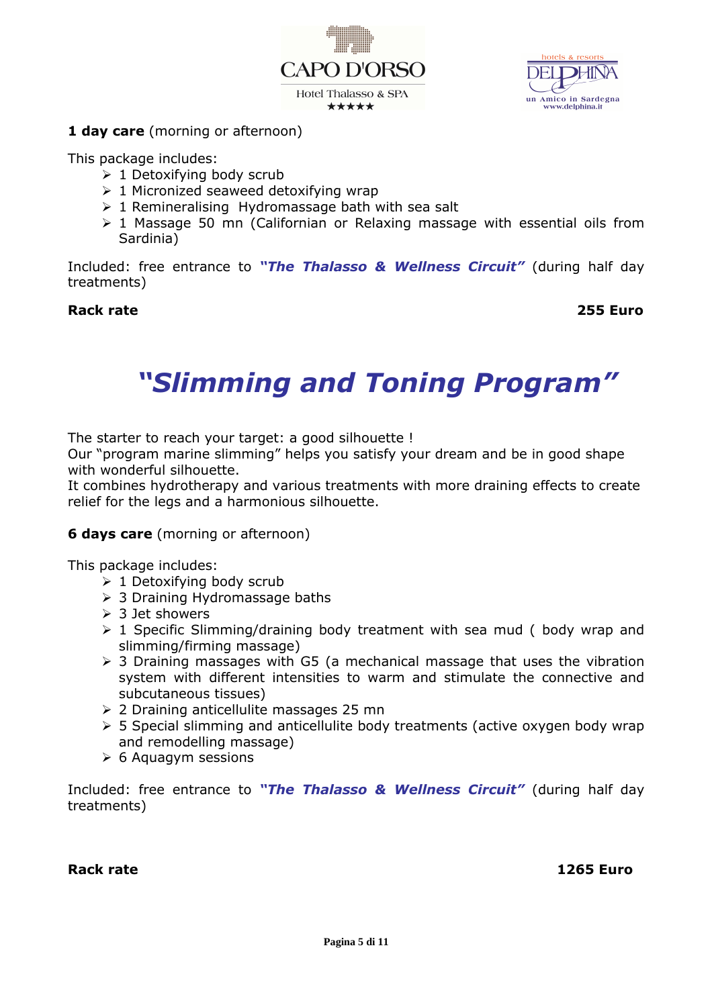



### **1 day care** (morning or afternoon)

This package includes:

- $\geq 1$  Detoxifying body scrub
- $\geq 1$  Micronized seaweed detoxifying wrap
- $\geq 1$  Remineralising Hydromassage bath with sea salt
- $\geq 1$  Massage 50 mn (Californian or Relaxing massage with essential oils from Sardinia)

Included: free entrance to *"The Thalasso & Wellness Circuit"* (during half day treatments)

#### **Rack rate 255 Euro**

# *"Slimming and Toning Program"*

The starter to reach your target: a good silhouette !

Our "program marine slimming" helps you satisfy your dream and be in good shape with wonderful silhouette.

It combines hydrotherapy and various treatments with more draining effects to create relief for the legs and a harmonious silhouette.

### **6 days care** (morning or afternoon)

This package includes:

- $\geq 1$  Detoxifying body scrub
- 3 Draining Hydromassage baths
- $>$  3 Jet showers
- $\geq 1$  Specific Slimming/draining body treatment with sea mud (body wrap and slimming/firming massage)
- $\geq$  3 Draining massages with G5 (a mechanical massage that uses the vibration system with different intensities to warm and stimulate the connective and subcutaneous tissues)
- 2 Draining anticellulite massages 25 mn
- $>$  5 Special slimming and anticellulite body treatments (active oxygen body wrap and remodelling massage)
- $\geqslant$  6 Aquagym sessions

Included: free entrance to *"The Thalasso & Wellness Circuit"* (during half day treatments)

**Rack rate 1265 Euro**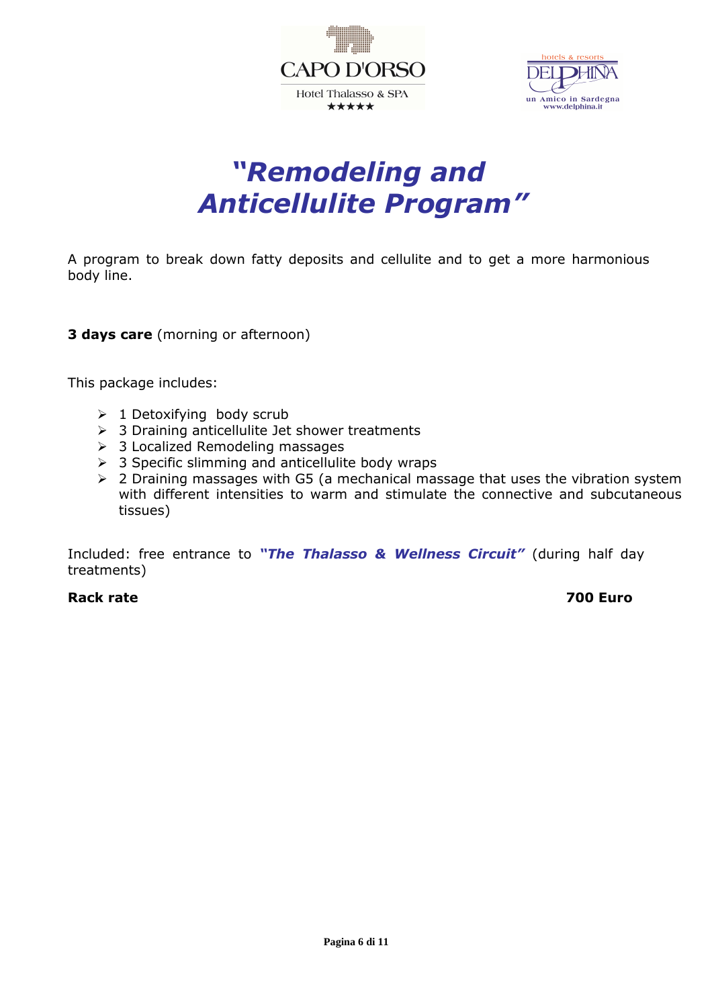



# *"Remodeling and Anticellulite Program"*

A program to break down fatty deposits and cellulite and to get a more harmonious body line.

**3 days care** (morning or afternoon)

This package includes:

- $\geq 1$  Detoxifying body scrub
- $\geq$  3 Draining anticellulite Jet shower treatments
- > 3 Localized Remodeling massages
- $\geq$  3 Specific slimming and anticellulite body wraps
- $\geq$  2 Draining massages with G5 (a mechanical massage that uses the vibration system with different intensities to warm and stimulate the connective and subcutaneous tissues)

Included: free entrance to *"The Thalasso & Wellness Circuit"* (during half day treatments)

#### **Rack rate 700 Euro**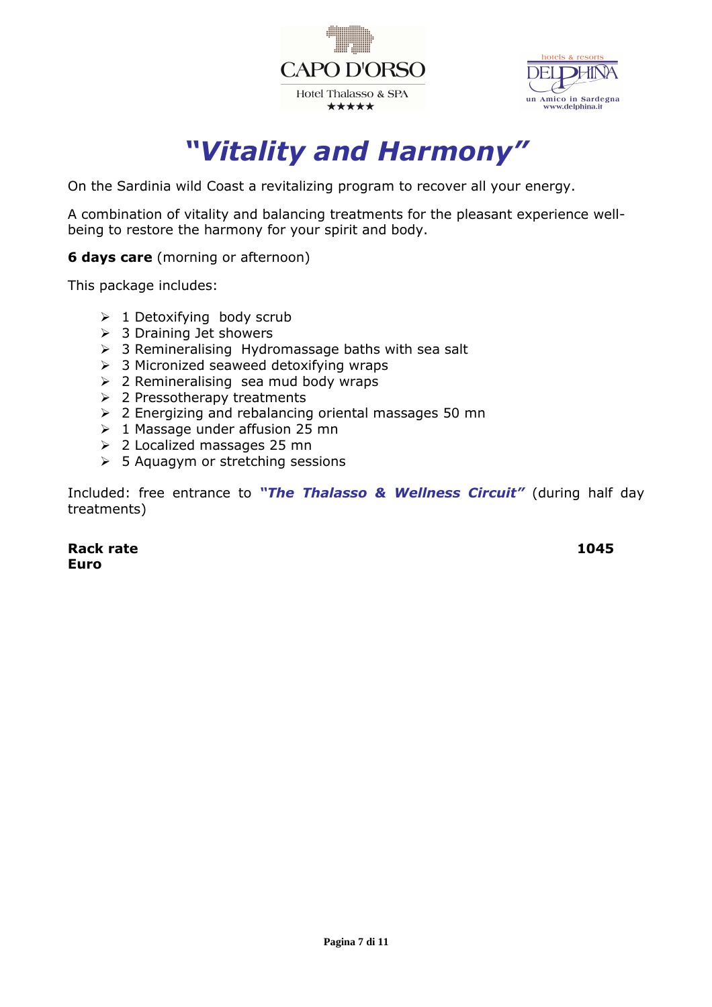



## *"Vitality and Harmony"*

On the Sardinia wild Coast a revitalizing program to recover all your energy.

A combination of vitality and balancing treatments for the pleasant experience wellbeing to restore the harmony for your spirit and body.

**6 days care** (morning or afternoon)

This package includes:

- $\geq 1$  Detoxifying body scrub
- $\geq$  3 Draining Jet showers
- $\geq$  3 Remineralising Hydromassage baths with sea salt
- $\geq$  3 Micronized seaweed detoxifying wraps
- $\geq$  2 Remineralising sea mud body wraps
- $\geq$  2 Pressotherapy treatments
- 2 Energizing and rebalancing oriental massages 50 mn
- $\geq 1$  Massage under affusion 25 mn
- 2 Localized massages 25 mn
- $\geq$  5 Aquagym or stretching sessions

Included: free entrance to *"The Thalasso & Wellness Circuit"* (during half day treatments)

Rack rate **1045 Euro**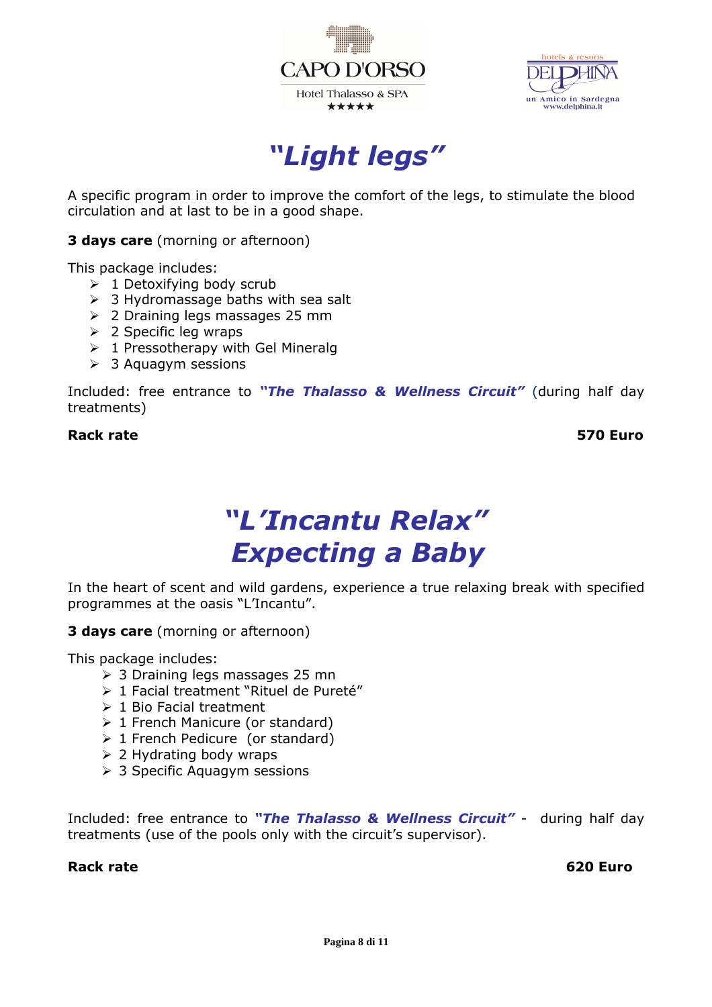



*"Light legs"* 

A specific program in order to improve the comfort of the legs, to stimulate the blood circulation and at last to be in a good shape.

**3 days care** (morning or afternoon)

This package includes:

- $\geq 1$  Detoxifying body scrub
- $\geq$  3 Hydromassage baths with sea salt
- 2 Draining legs massages 25 mm
- $\geq$  2 Specific leg wraps
- $\geq 1$  Pressotherapy with Gel Mineralg
- $\geq$  3 Aquagym sessions

Included: free entrance to *"The Thalasso & Wellness Circuit"* (during half day treatments)

#### **Rack rate 570 Euro**

# *"L'Incantu Relax" Expecting a Baby*

In the heart of scent and wild gardens, experience a true relaxing break with specified programmes at the oasis "L'Incantu".

**3 days care** (morning or afternoon)

This package includes:

- 3 Draining legs massages 25 mn
- > 1 Facial treatment "Rituel de Pureté"
- $\geq 1$  Bio Facial treatment
- $\geq 1$  French Manicure (or standard)
- $\geq 1$  French Pedicure (or standard)
- $\geq$  2 Hydrating body wraps
- **> 3 Specific Aquagym sessions**

Included: free entrance to *"The Thalasso & Wellness Circuit"* - during half day treatments (use of the pools only with the circuit's supervisor).

#### Rack rate **620 Euro 620 Euro 620 Euro**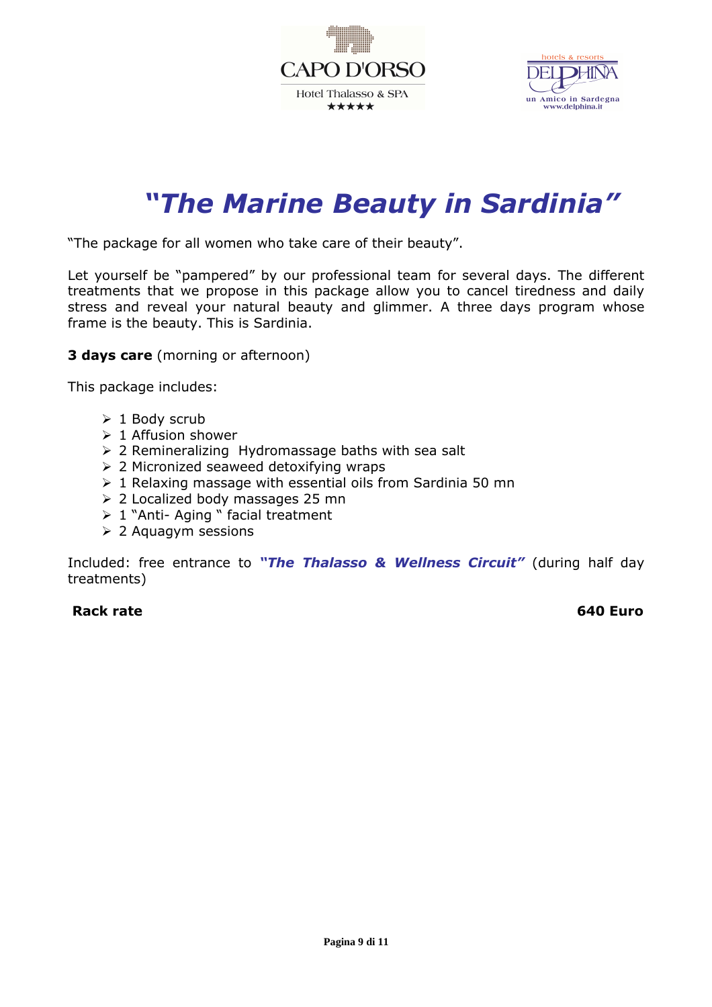



# *"The Marine Beauty in Sardinia"*

"The package for all women who take care of their beauty".

Let yourself be "pampered" by our professional team for several days. The different treatments that we propose in this package allow you to cancel tiredness and daily stress and reveal your natural beauty and glimmer. A three days program whose frame is the beauty. This is Sardinia.

**3 days care** (morning or afternoon)

This package includes:

- $\geq 1$  Body scrub
- $\geq 1$  Affusion shower
- $\geq$  2 Remineralizing Hydromassage baths with sea salt
- $\geq$  2 Micronized seaweed detoxifying wraps
- $\geq 1$  Relaxing massage with essential oils from Sardinia 50 mn
- 2 Localized body massages 25 mn
- $\geq 1$  "Anti- Aging " facial treatment
- 2 Aquagym sessions

Included: free entrance to *"The Thalasso & Wellness Circuit"* (during half day treatments)

#### **Rack rate** 640 Euro **Rack rate** 640 Euro **640** Euro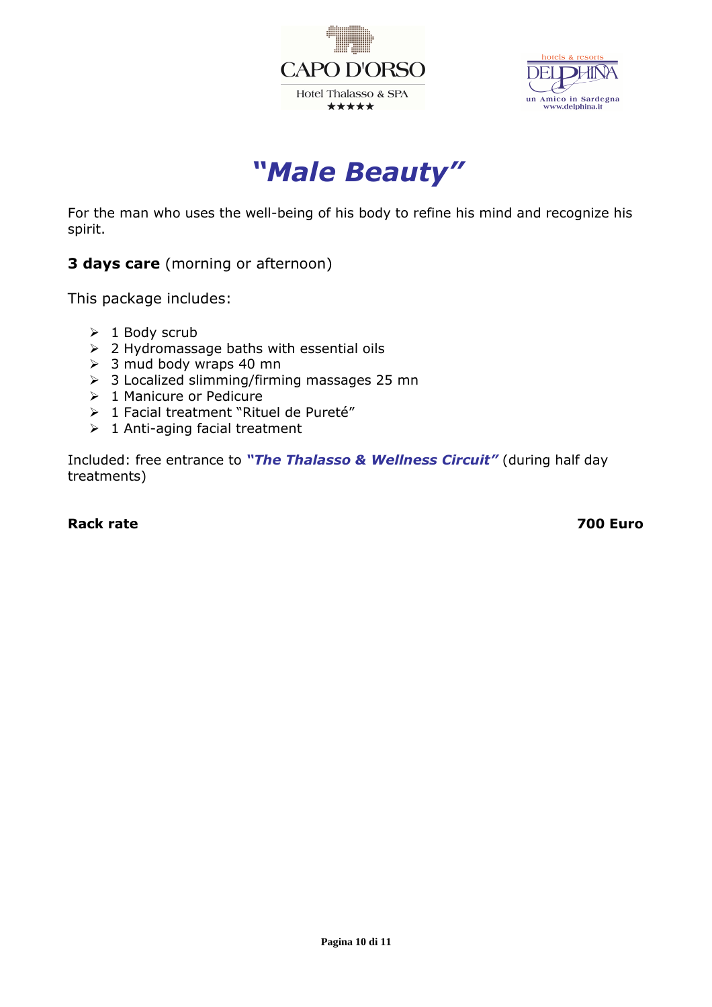



*"Male Beauty"* 

For the man who uses the well-being of his body to refine his mind and recognize his spirit.

**3 days care** (morning or afternoon)

This package includes:

- $\geq 1$  Body scrub
- $\geq$  2 Hydromassage baths with essential oils
- $\geq$  3 mud body wraps 40 mn
- $\geq$  3 Localized slimming/firming massages 25 mn
- $\triangleright$  1 Manicure or Pedicure
- > 1 Facial treatment "Rituel de Pureté"
- $\geq 1$  Anti-aging facial treatment

Included: free entrance to *"The Thalasso & Wellness Circuit"* (during half day treatments)

#### **Rack rate 700 Euro 200 Euro 200 Euro 200 Euro 200 Euro 200 Euro 200 Euro 200 Euro 200 Euro 200 Euro 200 Euro 200 Euro 200 Euro 200 Euro 200 Euro 200 Euro 200 Euro 200 Euro 200 Euro 200 Euro 200 Euro 200 Euro 200 Euro 200**